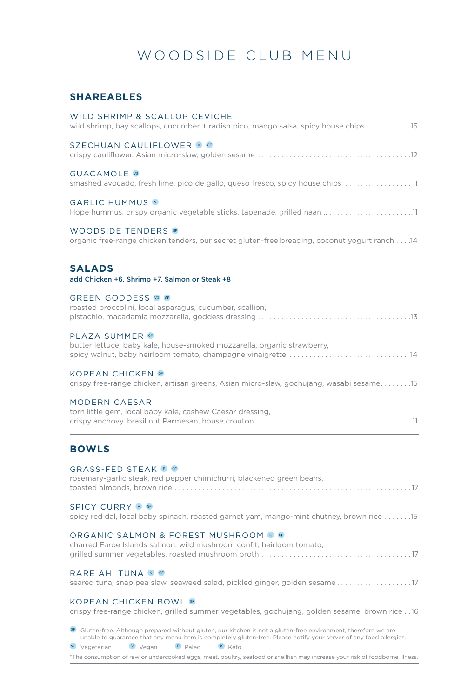# WOODSIDE CLUB MENU

## **SHAREABLES**

# WILD SHRIMP & SCALLOP CEVICHE wild shrimp, bay scallops, cucumber + radish pico, mango salsa, spicy house chips . . . . . . . . . . . 15 SZECHUAN CAULIFLOWER V GP crispy cauliflower, Asian micro-slaw, golden sesame . . . . . . . . . . . . . . . . . . . . . . . . . . . . . . . . . . . . . . 12 GUACAMOLE<sup>wG</sup> smashed avocado, fresh lime, pico de gallo, queso fresco, spicy house chips . . . . . . . . . . . . . . . . 11 GARLIC HUMMUS Hope hummus, crispy organic vegetable sticks, tapenade, grilled naan .........................11 WOODSIDE TENDERS **GF** organic free-range chicken tenders, our secret gluten-free breading, coconut yogurt ranch . . ..14 **SALADS**

add Chicken +6, Shrimp +7, Salmon or Steak +8

#### GREEN GODDESS VG OF

| roasted broccolini, local asparagus, cucumber, scallion. |  |
|----------------------------------------------------------|--|
|                                                          |  |
|                                                          |  |
| PLAZA SUMMER GF                                          |  |

| butter lettuce, baby kale, house-smoked mozzarella, organic strawberry, |  |
|-------------------------------------------------------------------------|--|
|                                                                         |  |

#### KOREAN CHICKEN<sup>®</sup>

| crispy free-range chicken, artisan greens, Asian micro-slaw, gochujang, wasabi sesame15 |  |  |  |  |  |
|-----------------------------------------------------------------------------------------|--|--|--|--|--|
|-----------------------------------------------------------------------------------------|--|--|--|--|--|

#### MODERN CAESAR

| torn little gem, local baby kale, cashew Caesar dressing, |  |
|-----------------------------------------------------------|--|
|                                                           |  |

## **BOWLS**

#### GRASS-FED STEAK P GF

| rosemary-garlic steak, red pepper chimichurri, blackened green beans,                                                             |
|-----------------------------------------------------------------------------------------------------------------------------------|
| <b>SPICY CURRY V GF</b><br>spicy red dal, local baby spinach, roasted garnet yam, mango-mint chutney, brown rice $\dots \dots 15$ |
| ORGANIC SALMON & FOREST MUSHROOM & GF<br>charred Faroe Islands salmon, wild mushroom confit, heirloom tomato.                     |

| charred Faroe Islands salmon, wild mushroom confit, heirloom tomato. |  |
|----------------------------------------------------------------------|--|
|                                                                      |  |

#### RARE AHI TUNA **K** OF

seared tuna, snap pea slaw, seaweed salad, pickled ginger, golden sesame . . . . . . . . . . . . . . . . . . 17

#### KOREAN CHICKEN BOWL

crispy free-range chicken, grilled summer vegetables, gochujang, golden sesame, brown rice . 16

G Gluten-free. Although prepared without gluten, our kitchen is not a gluten-free environment, therefore we are unable to guarantee that any menu item is completely gluten-free. Please notify your server of any food allergies. <sup>G</sup> Vegetarian V Vegan P Paleo K Keto \*The consumption of raw or undercooked eggs, meat, poultry, seafood or shellfish may increase your risk of foodborne illness.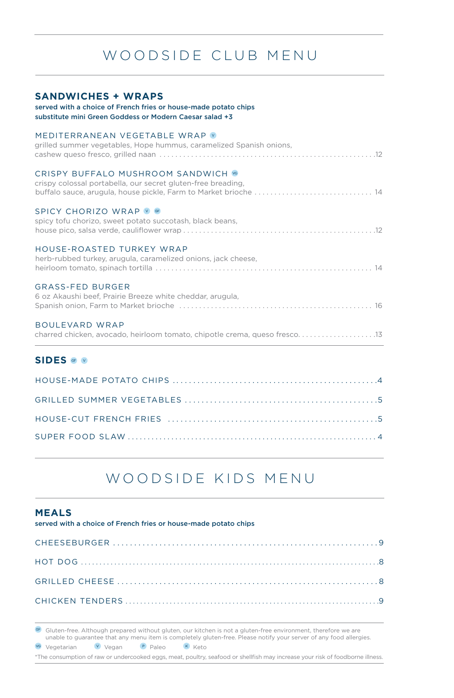# WOODSIDE CLUB MENU

**SANDWICHES + WRAPS**

# served with a choice of French fries or house-made potato chips substitute mini Green Goddess or Modern Caesar salad +3 MEDITERRANEAN VEGETABLE WRAP grilled summer vegetables, Hope hummus, caramelized Spanish onions, cashew queso fresco, grilled naan . . . . . . . . . . . . . . . . . . . . . . . . . . . . . . . . . . . . . . . . . . . . . . . . . . . . . . 12 CRISPY BUFFALO MUSHROOM SANDWICH crispy colossal portabella, our secret gluten-free breading, buffalo sauce, arugula, house pickle, Farm to Market brioche . . . . . . . . . . . . . . . . . . . . . . . . . . . . . . 14 SPICY CHORIZO WRAP V GF spicy tofu chorizo, sweet potato succotash, black beans, house pico, salsa verde, cauliflower wrap . . . . . . . . . . . . . . . . . . . . . . . . . . . . . . . . . . . . . . . . . . . . . . . . 12 HOUSE-ROASTED TURKEY WRAP herb-rubbed turkey, arugula, caramelized onions, jack cheese, heirloom tomato, spinach tortilla . . . . . . . . . . . . . . . . . . . . . . . . . . . . . . . . . . . . . . . . . . . . . . . . . . . . . . . 14 GRASS-FED BURGER 6 oz Akaushi beef, Prairie Breeze white cheddar, arugula, Spanish onion, Farm to Market brioche . . . . . . . . . . . . . . . . . . . . . . . . . . . . . . . . . . . . . . . . . . . . . . . . . 16 BOULEVARD WRAP charred chicken, avocado, heirloom tomato, chipotle crema, queso fresco . . . . . . . . . . . . . . . . . . . 13 **SIDES**  HOUSE-MADE POTATO CHIPS . . . . . . . . . . . . . . . . . . . . . . . . . . . . . . . . . . . . . . . . . . . . . . . . 4 GRILLED SUMMER VEGETABLES . . . . . . . . . . . . . . . . . . . . . . . . . . . . . . . . . . . . . . . . . . . . . 5

# WOODSIDE KIDS MENU

HOUSE-CUT FRENCH FRIES . . . . . . . . . . . . . . . . . . . . . . . . . . . . . . . . . . . . . . . . . . . . . . . . . 5 SUPER FOOD SLAW . . . . . . . . . . . . . . . . . . . . . . . . . . . . . . . . . . . . . . . . . . . . . . . . . . . . . . . . . . . . . . . 4

### **MEALS**

#### served with a choice of French fries or house-made potato chips

G Gluten-free. Although prepared without gluten, our kitchen is not a gluten-free environment, therefore we are unable to guarantee that any menu item is completely gluten-free. Please notify your server of any food allergies. Vegetarian V Vegan P Paleo K Keto \*The consumption of raw or undercooked eggs, meat, poultry, seafood or shellfish may increase your risk of foodborne illness.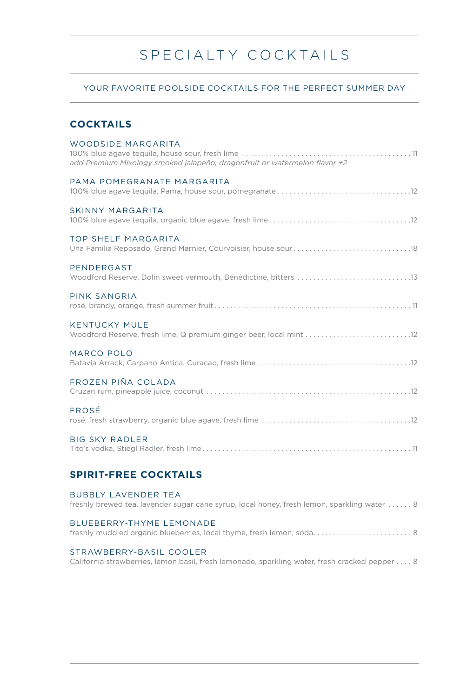# SPECIALTY COCKTAILS

### YOUR FAVORITE POOLSIDE COCKTAILS FOR THE PERFECT SUMMER DAY

# **COCKTAILS**

| <b>WOODSIDE MARGARITA</b><br>add Premium Mixology smoked jalapeño, dragonfruit or watermelon flavor +2 |
|--------------------------------------------------------------------------------------------------------|
| PAMA POMEGRANATE MARGARITA                                                                             |
| <b>SKINNY MARGARITA</b>                                                                                |
| <b>TOP SHELF MARGARITA</b>                                                                             |
| PENDERGAST                                                                                             |
| PINK SANGRIA                                                                                           |
| <b>KENTUCKY MULE</b>                                                                                   |
| <b>MARCO POLO</b>                                                                                      |
| FROZEN PIÑA COLADA                                                                                     |
| FROSÉ                                                                                                  |
| <b>BIG SKY RADLER</b>                                                                                  |

# **SPIRIT-FREE COCKTAILS**

### BUBBLY LAVENDER TEA

| freshly brewed tea, lavender sugar cane syrup, local honey, fresh lemon, sparkling water $\dots \dots 8$ |  |
|----------------------------------------------------------------------------------------------------------|--|
| BLUEBERRY-THYME LEMONADE                                                                                 |  |

## freshly muddled organic blueberries, local thyme, fresh lemon, soda . . . . . . . . . . . . . . . . . . . . . . . . . 8

### STRAWBERRY-BASIL COOLER

California strawberries, lemon basil, fresh lemonade, sparkling water, fresh cracked pepper . . . . 8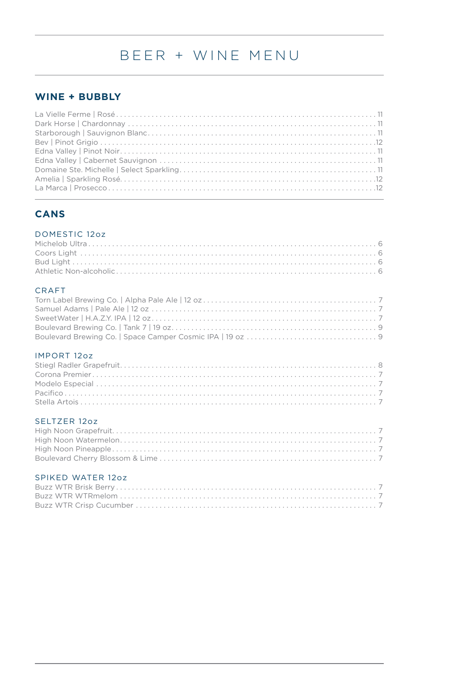# BEER + WINE MENU

# **WINE + BUBBLY**

# CANS

## DOMESTIC 12oz

| CRAFT                    |  |
|--------------------------|--|
| <b>IMPORT 12oz</b>       |  |
| SELTZER 12oz             |  |
| <b>SPIKED WATER 12oz</b> |  |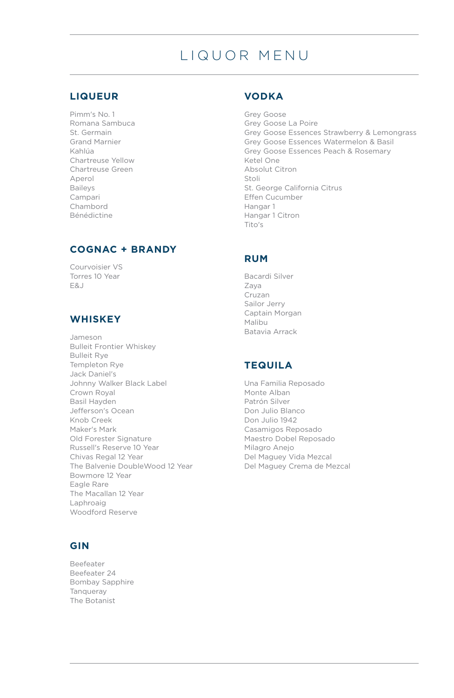# LIQUOR MENU

# **LIQUEUR**

Pimm's No. 1 Romana Sambuca St. Germain Grand Marnier Kahlúa Chartreuse Yellow Chartreuse Green Aperol Baileys Campari Chambord Bénédictine

# **COGNAC + BRANDY**

Courvoisier VS Torres 10 Year E&J

# **WHISKEY**

Jameson Bulleit Frontier Whiskey Bulleit Rye Templeton Rye Jack Daniel's Johnny Walker Black Label Crown Royal Basil Hayden Jefferson's Ocean Knob Creek Maker's Mark Old Forester Signature Russell's Reserve 10 Year Chivas Regal 12 Year The Balvenie DoubleWood 12 Year Bowmore 12 Year Eagle Rare The Macallan 12 Year Laphroaig Woodford Reserve

# **GIN**

Beefeater Beefeater 24 Bombay Sapphire **Tangueray** The Botanist

## **VODKA**

Grey Goose Grey Goose La Poire Grey Goose Essences Strawberry & Lemongrass Grey Goose Essences Watermelon & Basil Grey Goose Essences Peach & Rosemary Ketel One Absolut Citron Stoli St. George California Citrus Effen Cucumber Hangar 1 Hangar 1 Citron Tito's

### **RUM**

Bacardi Silver Zaya Cruzan Sailor Jerry Captain Morgan Malibu Batavia Arrack

# **TEQUILA**

Una Familia Reposado Monte Alban Patrón Silver Don Julio Blanco Don Julio 1942 Casamigos Reposado Maestro Dobel Reposado Milagro Anejo Del Maguey Vida Mezcal Del Maguey Crema de Mezcal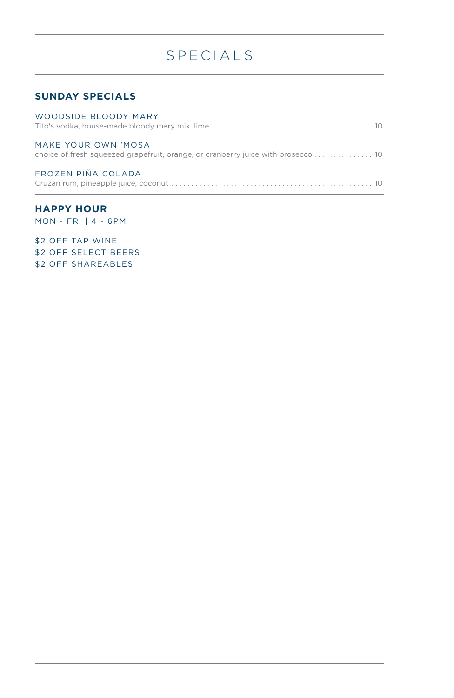# SPECIALS

# **SUNDAY SPECIALS**

| WOODSIDE BLOODY MARY                                                                                 |  |
|------------------------------------------------------------------------------------------------------|--|
| MAKE YOUR OWN 'MOSA<br>choice of fresh squeezed grapefruit, orange, or cranberry juice with prosecco |  |
| FROZEN PIÑA COLADA                                                                                   |  |

# **HAPPY HOUR** MON - FRI | 4 - 6PM

\$2 OFF TAP WINE \$2 OFF SELECT BEERS

\$2 OFF SHAREABLES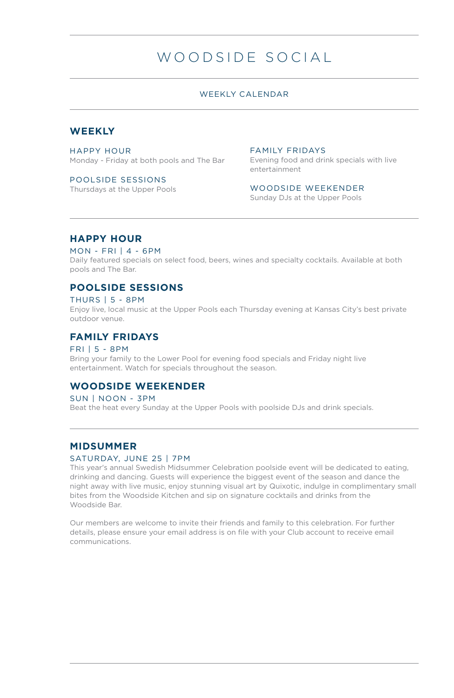# WOODSIDE SOCIAL

#### WEEKLY CALENDAR

### **WEEKLY**

HAPPY HOUR Monday - Friday at both pools and The Bar

POOLSIDE SESSIONS Thursdays at the Upper Pools

#### FAMILY FRIDAYS

Evening food and drink specials with live entertainment

#### WOODSIDE WEEKENDER

Sunday DJs at the Upper Pools

## **HAPPY HOUR**

#### MON - FRI | 4 - 6PM

Daily featured specials on select food, beers, wines and specialty cocktails. Available at both pools and The Bar.

# **POOLSIDE SESSIONS**

#### THURS | 5 - 8PM

Enjoy live, local music at the Upper Pools each Thursday evening at Kansas City's best private outdoor venue.

## **FAMILY FRIDAYS**

### FRI | 5 - 8PM

Bring your family to the Lower Pool for evening food specials and Friday night live entertainment. Watch for specials throughout the season.

### **WOODSIDE WEEKENDER**

SUN | NOON - 3PM Beat the heat every Sunday at the Upper Pools with poolside DJs and drink specials.

## **MIDSUMMER**

#### SATURDAY, JUNE 25 | 7PM

This year's annual Swedish Midsummer Celebration poolside event will be dedicated to eating, drinking and dancing. Guests will experience the biggest event of the season and dance the night away with live music, enjoy stunning visual art by Quixotic, indulge in complimentary small bites from the Woodside Kitchen and sip on signature cocktails and drinks from the Woodside Bar.

Our members are welcome to invite their friends and family to this celebration. For further details, please ensure your email address is on file with your Club account to receive email communications.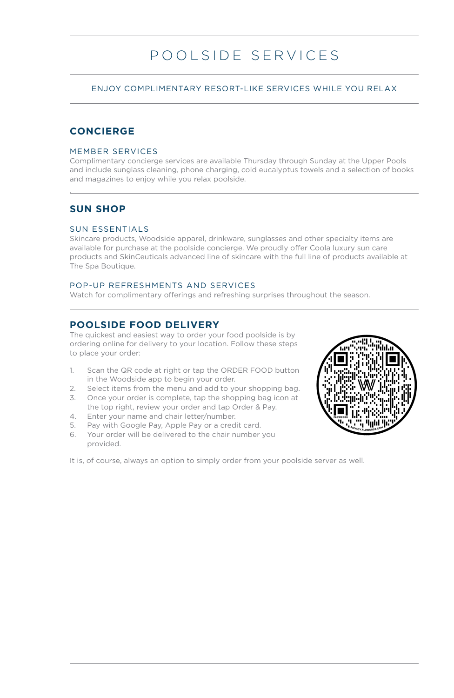# POOLSIDE SERVICES

### ENJOY COMPLIMENTARY RESORT-LIKE SERVICES WHILE YOU RELAX

## **CONCIERGE**

#### MEMBER SERVICES

Complimentary concierge services are available Thursday through Sunday at the Upper Pools and include sunglass cleaning, phone charging, cold eucalyptus towels and a selection of books and magazines to enjoy while you relax poolside.

## **SUN SHOP**

.

#### SUN ESSENTIALS

Skincare products, Woodside apparel, drinkware, sunglasses and other specialty items are available for purchase at the poolside concierge. We proudly offer Coola luxury sun care products and SkinCeuticals advanced line of skincare with the full line of products available at The Spa Boutique.

#### POP-UP REFRESHMENTS AND SERVICES

Watch for complimentary offerings and refreshing surprises throughout the season.

## **POOLSIDE FOOD DELIVERY**

The quickest and easiest way to order your food poolside is by ordering online for delivery to your location. Follow these steps to place your order:

- 1. Scan the QR code at right or tap the ORDER FOOD button in the Woodside app to begin your order.
- 2. Select items from the menu and add to your shopping bag.
- 3. Once your order is complete, tap the shopping bag icon at the top right, review your order and tap Order & Pay.
- 4. Enter your name and chair letter/number.
- 5. Pay with Google Pay, Apple Pay or a credit card.
- 6. Your order will be delivered to the chair number you provided.

It is, of course, always an option to simply order from your poolside server as well.

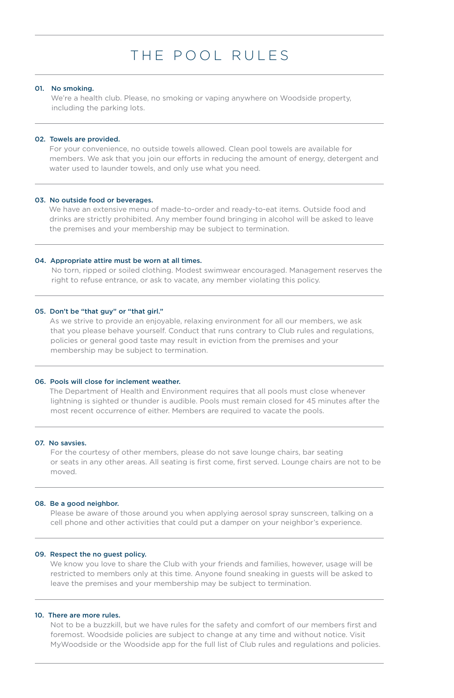# THE POOL RULES

#### 01. No smoking.

We're a health club. Please, no smoking or vaping anywhere on Woodside property, including the parking lots.

#### 02. Towels are provided.

For your convenience, no outside towels allowed. Clean pool towels are available for members. We ask that you join our efforts in reducing the amount of energy, detergent and water used to launder towels, and only use what you need.

#### 03. No outside food or beverages.

We have an extensive menu of made-to-order and ready-to-eat items. Outside food and drinks are strictly prohibited. Any member found bringing in alcohol will be asked to leave the premises and your membership may be subject to termination.

#### 04. Appropriate attire must be worn at all times.

No torn, ripped or soiled clothing. Modest swimwear encouraged. Management reserves the right to refuse entrance, or ask to vacate, any member violating this policy.

#### 05. Don't be "that guy" or "that girl."

As we strive to provide an enjoyable, relaxing environment for all our members, we ask that you please behave yourself. Conduct that runs contrary to Club rules and regulations, policies or general good taste may result in eviction from the premises and your membership may be subject to termination.

#### 06. Pools will close for inclement weather.

The Department of Health and Environment requires that all pools must close whenever lightning is sighted or thunder is audible. Pools must remain closed for 45 minutes after the most recent occurrence of either. Members are required to vacate the pools.

#### 07. No savsies.

For the courtesy of other members, please do not save lounge chairs, bar seating or seats in any other areas. All seating is first come, first served. Lounge chairs are not to be moved.

#### 08. Be a good neighbor.

Please be aware of those around you when applying aerosol spray sunscreen, talking on a cell phone and other activities that could put a damper on your neighbor's experience.

#### 09. Respect the no guest policy.

We know you love to share the Club with your friends and families, however, usage will be restricted to members only at this time. Anyone found sneaking in guests will be asked to leave the premises and your membership may be subject to termination.

#### 10. There are more rules.

Not to be a buzzkill, but we have rules for the safety and comfort of our members first and foremost. Woodside policies are subject to change at any time and without notice. Visit MyWoodside or the Woodside app for the full list of Club rules and regulations and policies.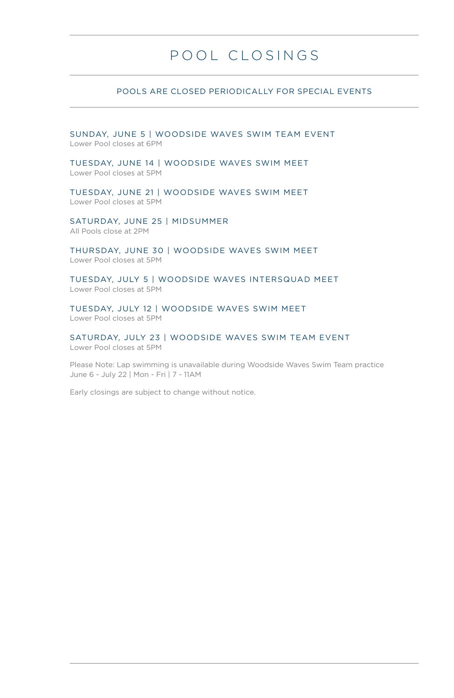# POOL CLOSINGS

#### POOLS ARE CLOSED PERIODICALLY FOR SPECIAL EVENTS

SUNDAY, JUNE 5 | WOODSIDE WAVES SWIM TEAM EVENT Lower Pool closes at 6PM

TUESDAY, JUNE 14 | WOODSIDE WAVES SWIM MEET Lower Pool closes at 5PM

TUESDAY, JUNE 21 | WOODSIDE WAVES SWIM MEET Lower Pool closes at 5PM

SATURDAY, JUNE 25 | MIDSUMMER All Pools close at 2PM

THURSDAY, JUNE 30 | WOODSIDE WAVES SWIM MEET Lower Pool closes at 5PM

TUESDAY, JULY 5 | WOODSIDE WAVES INTERSQUAD MEET Lower Pool closes at 5PM

TUESDAY, JULY 12 | WOODSIDE WAVES SWIM MEET Lower Pool closes at 5PM

SATURDAY, JULY 23 | WOODSIDE WAVES SWIM TEAM EVENT Lower Pool closes at 5PM

Please Note: Lap swimming is unavailable during Woodside Waves Swim Team practice June 6 - July 22 | Mon - Fri | 7 - 11AM

Early closings are subject to change without notice.